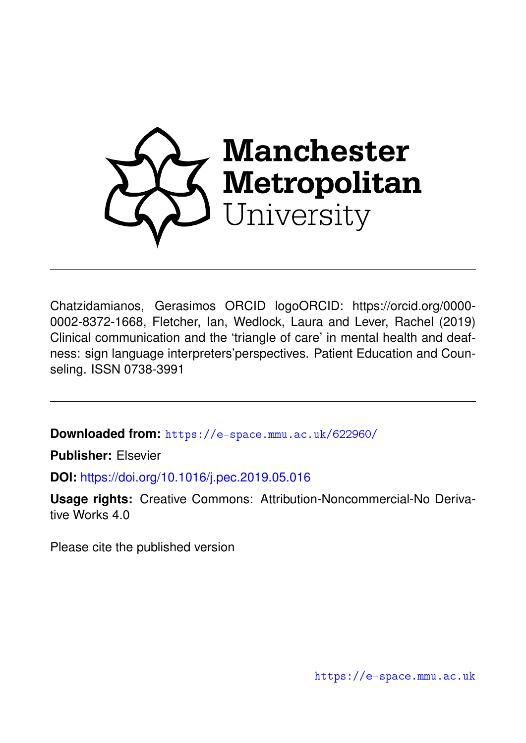

Chatzidamianos, Gerasimos ORCID logoORCID: https://orcid.org/0000- 0002-8372-1668, Fletcher, Ian, Wedlock, Laura and Lever, Rachel (2019) Clinical communication and the 'triangle of care' in mental health and deafness: sign language interpreters'perspectives. Patient Education and Counseling. ISSN 0738-3991

**Downloaded from:** <https://e-space.mmu.ac.uk/622960/>

**Publisher:** Elsevier

**DOI:** <https://doi.org/10.1016/j.pec.2019.05.016>

**Usage rights:** Creative Commons: Attribution-Noncommercial-No Derivative Works 4.0

Please cite the published version

<https://e-space.mmu.ac.uk>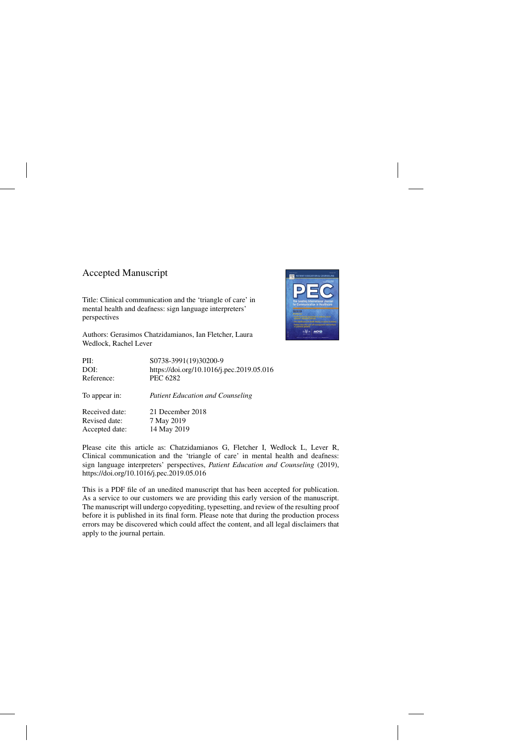## Accepted Manuscript

Title: Clinical communication and the 'triangle of care' in mental health and deafness: sign language interpreters' perspectives

Authors: Gerasimos Chatzidamianos, Ian Fletcher, Laura Wedlock, Rachel Lever



| PII:           | S0738-3991(19)30200-9                     |
|----------------|-------------------------------------------|
| DOI:           | https://doi.org/10.1016/j.pec.2019.05.016 |
| Reference:     | <b>PEC 6282</b>                           |
| To appear in:  | <b>Patient Education and Counseling</b>   |
| Received date: | 21 December 2018                          |
| Revised date:  | 7 May 2019                                |
| Accepted date: | 14 May 2019                               |
|                |                                           |

Please cite this article as: Chatzidamianos G, Fletcher I, Wedlock L, Lever R, Clinical communication and the 'triangle of care' in mental health and deafness: sign language interpreters' perspectives, *Patient Education and Counseling* (2019), <https://doi.org/10.1016/j.pec.2019.05.016>

This is a PDF file of an unedited manuscript that has been accepted for publication. As a service to our customers we are providing this early version of the manuscript. The manuscript will undergo copyediting, typesetting, and review of the resulting proof before it is published in its final form. Please note that during the production process errors may be discovered which could affect the content, and all legal disclaimers that apply to the journal pertain.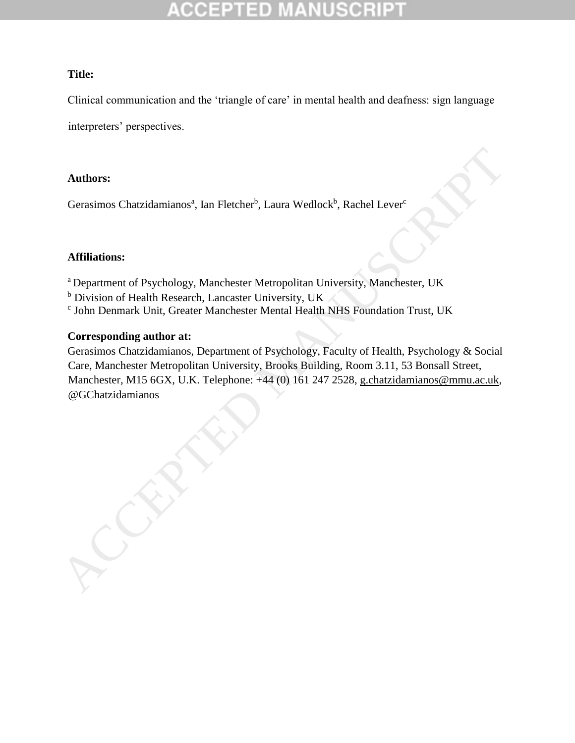### **Title:**

Clinical communication and the 'triangle of care' in mental health and deafness: sign language

interpreters' perspectives.

### **Authors:**

Gerasimos Chatzidamianos<sup>a</sup>, Ian Fletcher<sup>b</sup>, Laura Wedlock<sup>b</sup>, Rachel Lever<sup>c</sup>

### **Affiliations:**

<sup>a</sup> Department of Psychology, Manchester Metropolitan University, Manchester, UK

- <sup>b</sup> Division of Health Research, Lancaster University, UK
- c John Denmark Unit, Greater Manchester Mental Health NHS Foundation Trust, UK

### **Corresponding author at:**

Gerasimos Chatzidamianos, Department of Psychology, Faculty of Health, Psychology & Social Care, Manchester Metropolitan University, Brooks Building, Room 3.11, 53 Bonsall Street, Manchester, M15 6GX, U.K. Telephone: +44 (0) 161 247 2528, g.chatzidamianos@mmu.ac.uk,

Authors:<br>
Gerasimos Chatzidamianos", Ian Fletcher", Laura Wedlock", Rachel Lever"<br>
Affiliations:<br>
"Department of Psychology, Manchester Metropolitan University, Manchester, UK<br>
"Division of Health Research. Lancaster Univ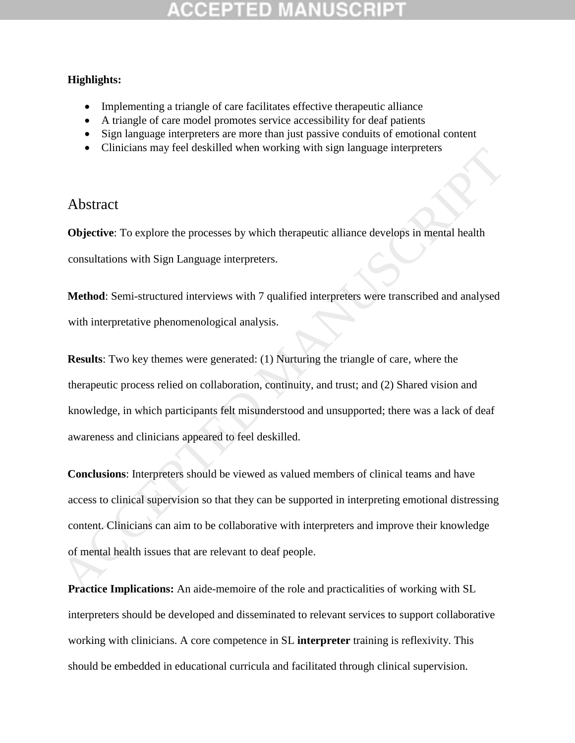### **Highlights:**

- Implementing a triangle of care facilitates effective therapeutic alliance
- A triangle of care model promotes service accessibility for deaf patients
- Sign language interpreters are more than just passive conduits of emotional content
- Clinicians may feel deskilled when working with sign language interpreters

## Abstract

**Objective**: To explore the processes by which therapeutic alliance develops in mental health consultations with Sign Language interpreters.

**Method**: Semi-structured interviews with 7 qualified interpreters were transcribed and analysed with interpretative phenomenological analysis.

**Results**: Two key themes were generated: (1) Nurturing the triangle of care, where the therapeutic process relied on collaboration, continuity, and trust; and (2) Shared vision and knowledge, in which participants felt misunderstood and unsupported; there was a lack of deaf awareness and clinicians appeared to feel deskilled.

**Conclusions**: Interpreters should be viewed as valued members of clinical teams and have access to clinical supervision so that they can be supported in interpreting emotional distressing content. Clinicians can aim to be collaborative with interpreters and improve their knowledge of mental health issues that are relevant to deaf people. • Cumcians may icel deskilled when working will sign aligologic interpreters<br>
Abstract<br>
Objective: To explore the processes by which therapeutic alliance develops in mental health<br>
consultations with Sign Language interpre

**Practice Implications:** An aide-memoire of the role and practicalities of working with SL interpreters should be developed and disseminated to relevant services to support collaborative working with clinicians. A core competence in SL **interpreter** training is reflexivity. This should be embedded in educational curricula and facilitated through clinical supervision.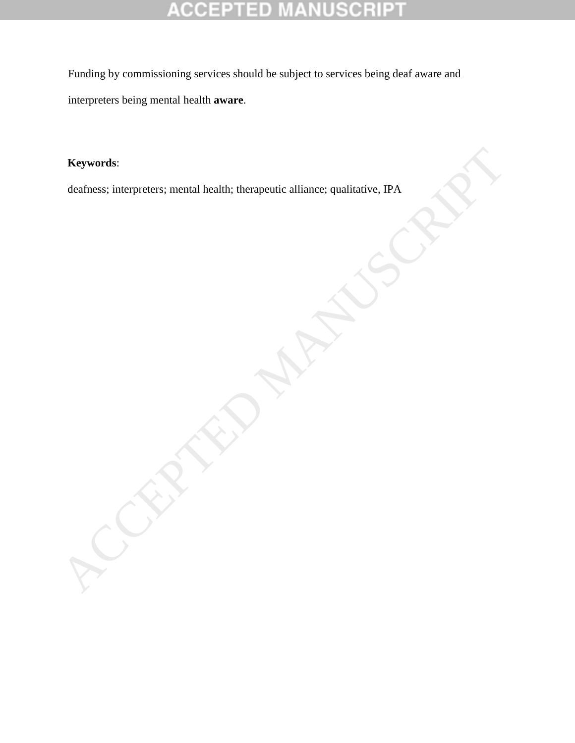### **MANUSCRIP CCEPTED**  $\overline{\mathbb{F}}$

Funding by commissioning services should be subject to services being deaf aware and interpreters being mental health **aware**.

### **Keywords**:

deafness; interpreters; mental health; therapeutic alliance; qualitative, IPA ACCEPTED MANUSCRIPTED MANUSCRIPTED MANUSCRIPTED MANUSCRIPTED MANUSCRIPTED MANUSCRIPTED MANUSCRIPTED MANUSCRIPTED MANUSCRIPTED MANUSCRIPTED MANUS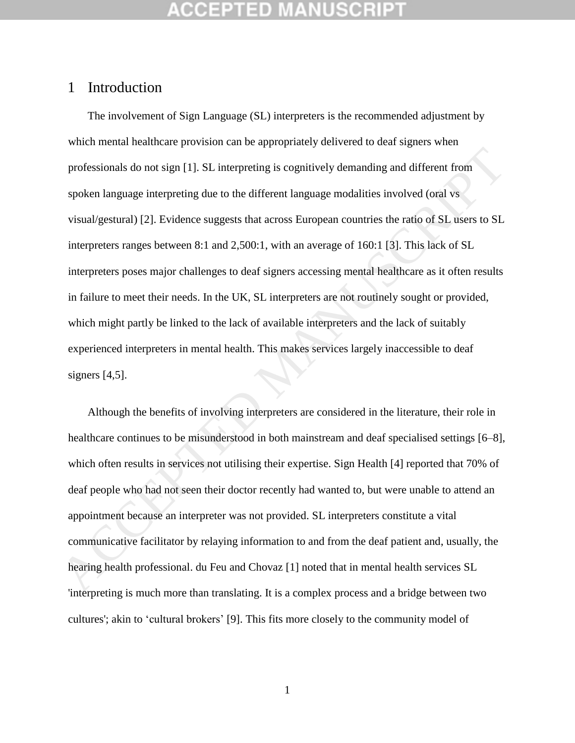## 1 Introduction

The involvement of Sign Language (SL) interpreters is the recommended adjustment by which mental healthcare provision can be appropriately delivered to deaf signers when professionals do not sign [1]. SL interpreting is cognitively demanding and different from spoken language interpreting due to the different language modalities involved (oral vs visual/gestural) [2]. Evidence suggests that across European countries the ratio of SL users to SL interpreters ranges between 8:1 and 2,500:1, with an average of 160:1 [3]. This lack of SL interpreters poses major challenges to deaf signers accessing mental healthcare as it often results in failure to meet their needs. In the UK, SL interpreters are not routinely sought or provided, which might partly be linked to the lack of available interpreters and the lack of suitably experienced interpreters in mental health. This makes services largely inaccessible to deaf signers  $[4,5]$ . professionals do not sign [1], SL interpreting is cognitively demanding and different from<br>spoken language interpreting due to the different language modalities involved (oral vs<br>visual/gestural) [2]. Evidence suggests tha

Although the benefits of involving interpreters are considered in the literature, their role in healthcare continues to be misunderstood in both mainstream and deaf specialised settings [6–8], which often results in services not utilising their expertise. Sign Health [4] reported that 70% of deaf people who had not seen their doctor recently had wanted to, but were unable to attend an appointment because an interpreter was not provided. SL interpreters constitute a vital communicative facilitator by relaying information to and from the deaf patient and, usually, the hearing health professional. du Feu and Chovaz [1] noted that in mental health services SL 'interpreting is much more than translating. It is a complex process and a bridge between two cultures'; akin to 'cultural brokers' [9]. This fits more closely to the community model of

1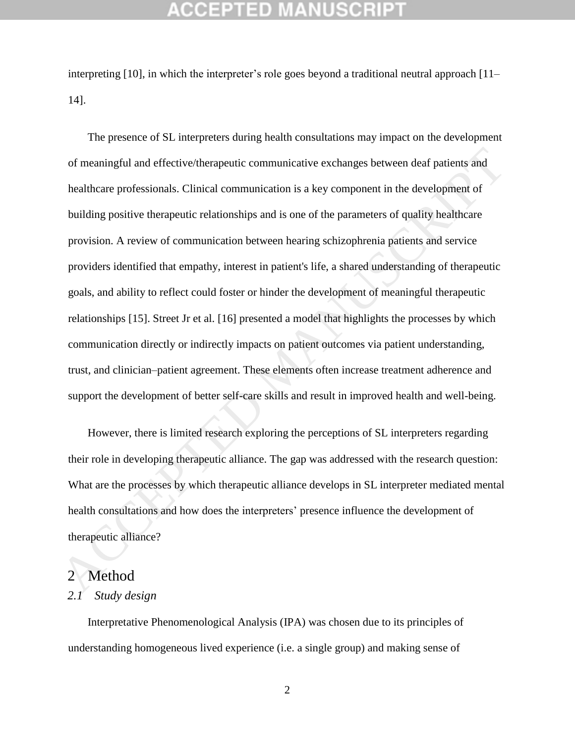## GEPTED

interpreting [10], in which the interpreter's role goes beyond a traditional neutral approach [11– 14].

The presence of SL interpreters during health consultations may impact on the development of meaningful and effective/therapeutic communicative exchanges between deaf patients and healthcare professionals. Clinical communication is a key component in the development of building positive therapeutic relationships and is one of the parameters of quality healthcare provision. A review of communication between hearing schizophrenia patients and service providers identified that empathy, interest in patient's life, a shared understanding of therapeutic goals, and ability to reflect could foster or hinder the development of meaningful therapeutic relationships [15]. Street Jr et al. [16] presented a model that highlights the processes by which communication directly or indirectly impacts on patient outcomes via patient understanding, trust, and clinician–patient agreement. These elements often increase treatment adherence and support the development of better self-care skills and result in improved health and well-being. of meaningful and effective/therapeutic communicative exchanges between deaf patients and<br>healthcare professionals. Clinical communication is a key component in the development of<br>building positive therapeutic relationship

However, there is limited research exploring the perceptions of SL interpreters regarding their role in developing therapeutic alliance. The gap was addressed with the research question: What are the processes by which therapeutic alliance develops in SL interpreter mediated mental health consultations and how does the interpreters' presence influence the development of therapeutic alliance?

### 2 Method

### *2.1 Study design*

Interpretative Phenomenological Analysis (IPA) was chosen due to its principles of understanding homogeneous lived experience (i.e. a single group) and making sense of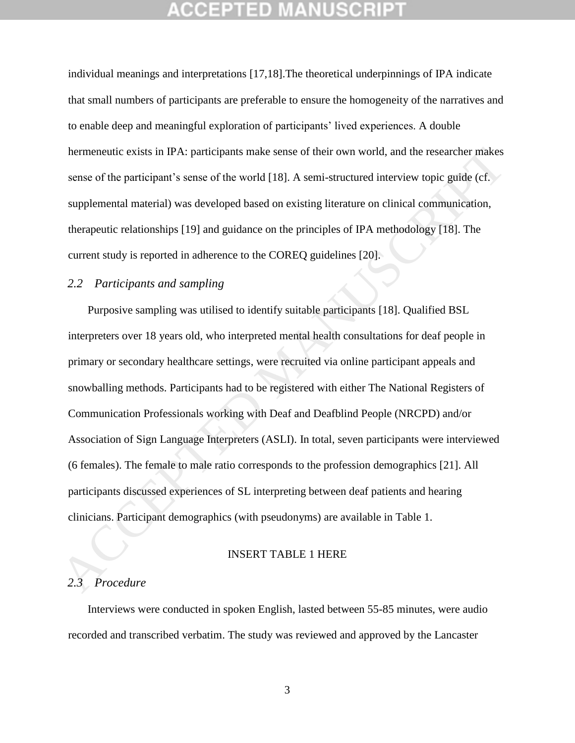individual meanings and interpretations [17,18].The theoretical underpinnings of IPA indicate that small numbers of participants are preferable to ensure the homogeneity of the narratives and to enable deep and meaningful exploration of participants' lived experiences. A double hermeneutic exists in IPA: participants make sense of their own world, and the researcher makes sense of the participant's sense of the world [18]. A semi-structured interview topic guide (cf. supplemental material) was developed based on existing literature on clinical communication, therapeutic relationships [19] and guidance on the principles of IPA methodology [18]. The current study is reported in adherence to the COREQ guidelines [20].

### *2.2 Participants and sampling*

Purposive sampling was utilised to identify suitable participants [18]. Qualified BSL interpreters over 18 years old, who interpreted mental health consultations for deaf people in primary or secondary healthcare settings, were recruited via online participant appeals and snowballing methods. Participants had to be registered with either The National Registers of Communication Professionals working with Deaf and Deafblind People (NRCPD) and/or Association of Sign Language Interpreters (ASLI). In total, seven participants were interviewed (6 females). The female to male ratio corresponds to the profession demographics [21]. All participants discussed experiences of SL interpreting between deaf patients and hearing clinicians. Participant demographics (with pseudonyms) are available in Table 1. hermeneutic exists in IPA: participants make sense of their own world, and the researcher makes<br>sense of the participant's sense of the world [18]. A semi-structured interview topic guide (cf.<br>supplemental material) was de

### INSERT TABLE 1 HERE

### *2.3 Procedure*

Interviews were conducted in spoken English, lasted between 55-85 minutes, were audio recorded and transcribed verbatim. The study was reviewed and approved by the Lancaster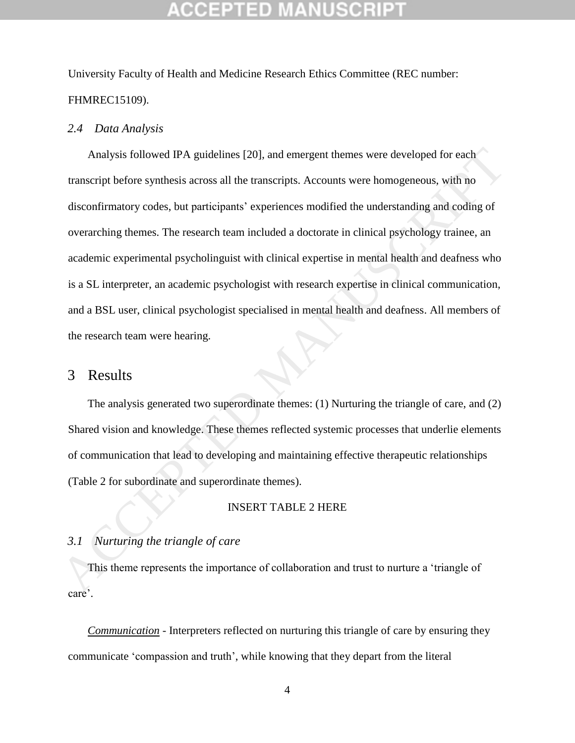University Faculty of Health and Medicine Research Ethics Committee (REC number: FHMREC15109).

### *2.4 Data Analysis*

Analysis followed IPA guidelines [20], and emergent themes were developed for each transcript before synthesis across all the transcripts. Accounts were homogeneous, with no disconfirmatory codes, but participants' experiences modified the understanding and coding of overarching themes. The research team included a doctorate in clinical psychology trainee, an academic experimental psycholinguist with clinical expertise in mental health and deafness who is a SL interpreter, an academic psychologist with research expertise in clinical communication, and a BSL user, clinical psychologist specialised in mental health and deafness. All members of the research team were hearing. Analysis followed IPA guidelines [20], and emergent themes were developed for each<br>
transcript before synthesis across all the transcripts. Accounts were homogeneous, with no<br>
disconfirmatory codes, but participants' expe

## 3 Results

The analysis generated two superordinate themes: (1) Nurturing the triangle of care, and (2) Shared vision and knowledge. These themes reflected systemic processes that underlie elements of communication that lead to developing and maintaining effective therapeutic relationships (Table 2 for subordinate and superordinate themes).

### INSERT TABLE 2 HERE

### *3.1 Nurturing the triangle of care*

This theme represents the importance of collaboration and trust to nurture a 'triangle of care'.

*Communication* - Interpreters reflected on nurturing this triangle of care by ensuring they communicate 'compassion and truth', while knowing that they depart from the literal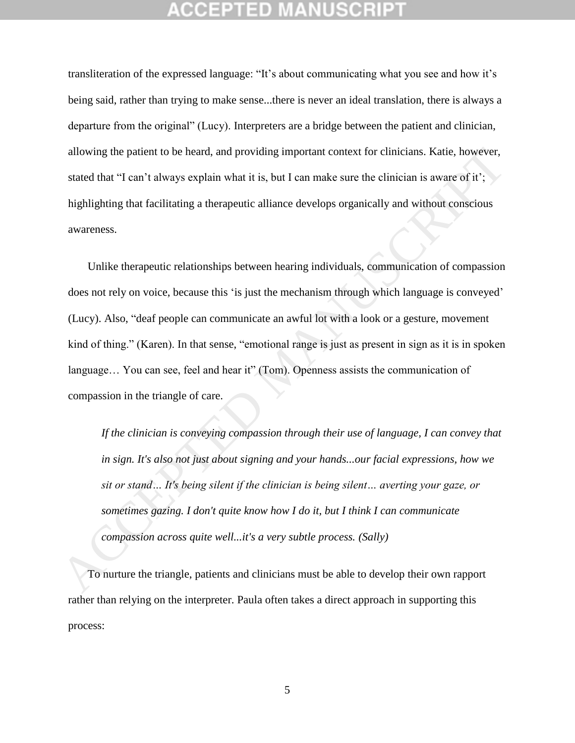transliteration of the expressed language: "It's about communicating what you see and how it's being said, rather than trying to make sense...there is never an ideal translation, there is always a departure from the original" (Lucy). Interpreters are a bridge between the patient and clinician, allowing the patient to be heard, and providing important context for clinicians. Katie, however, stated that "I can't always explain what it is, but I can make sure the clinician is aware of it'; highlighting that facilitating a therapeutic alliance develops organically and without conscious awareness.

Unlike therapeutic relationships between hearing individuals, communication of compassion does not rely on voice, because this 'is just the mechanism through which language is conveyed' (Lucy). Also, "deaf people can communicate an awful lot with a look or a gesture, movement kind of thing." (Karen). In that sense, "emotional range is just as present in sign as it is in spoken language… You can see, feel and hear it" (Tom). Openness assists the communication of compassion in the triangle of care. allowing the patient to be heard, and providing important context for clinicians. Katie, however,<br>stated that "I can't always explain what it is, but I can make sure the clinician is aware of it';<br>highlighting that facili

*If the clinician is conveying compassion through their use of language, I can convey that in sign. It's also not just about signing and your hands...our facial expressions, how we sit or stand… It's being silent if the clinician is being silent… averting your gaze, or sometimes gazing. I don't quite know how I do it, but I think I can communicate compassion across quite well...it's a very subtle process. (Sally)*

To nurture the triangle, patients and clinicians must be able to develop their own rapport rather than relying on the interpreter. Paula often takes a direct approach in supporting this process: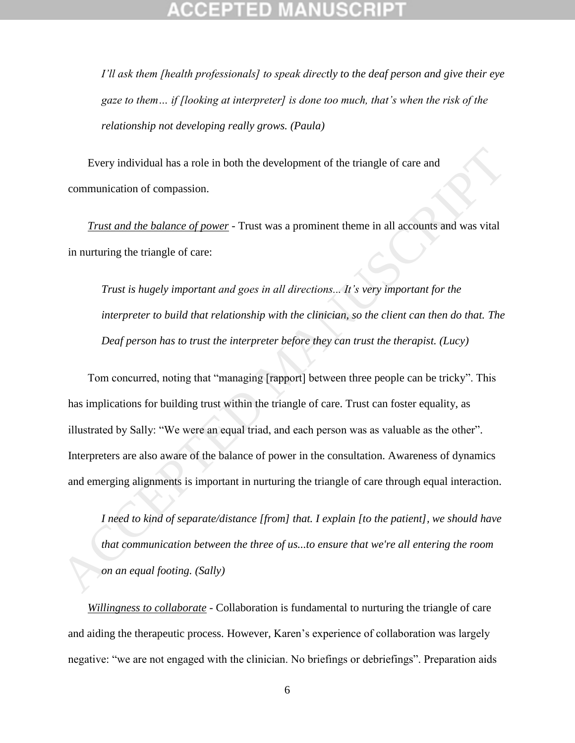*I'll ask them [health professionals] to speak directly to the deaf person and give their eye gaze to them… if [looking at interpreter] is done too much, that's when the risk of the relationship not developing really grows. (Paula)*

Every individual has a role in both the development of the triangle of care and communication of compassion.

*Trust and the balance of power* - Trust was a prominent theme in all accounts and was vital in nurturing the triangle of care:

*Trust is hugely important and goes in all directions... It's very important for the interpreter to build that relationship with the clinician, so the client can then do that. The Deaf person has to trust the interpreter before they can trust the therapist. (Lucy)*

Tom concurred, noting that "managing [rapport] between three people can be tricky". This has implications for building trust within the triangle of care. Trust can foster equality, as illustrated by Sally: "We were an equal triad, and each person was as valuable as the other". Interpreters are also aware of the balance of power in the consultation. Awareness of dynamics and emerging alignments is important in nurturing the triangle of care through equal interaction. Hyery individual has a role in both the development of the triangle of care and<br>
communication of compassion.<br> *Trust and the balance of power* - Trust was a prominent theme in all accounts and was vital<br>
in nurturing the

*I need to kind of separate/distance [from] that. I explain [to the patient], we should have that communication between the three of us...to ensure that we're all entering the room on an equal footing. (Sally)*

*Willingness to collaborate* - Collaboration is fundamental to nurturing the triangle of care and aiding the therapeutic process. However, Karen's experience of collaboration was largely negative: "we are not engaged with the clinician. No briefings or debriefings". Preparation aids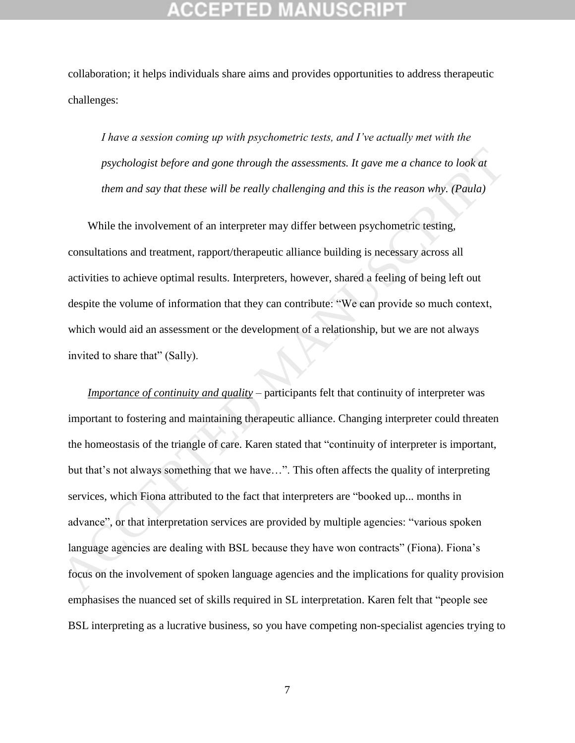collaboration; it helps individuals share aims and provides opportunities to address therapeutic challenges:

*I have a session coming up with psychometric tests, and I've actually met with the psychologist before and gone through the assessments. It gave me a chance to look at them and say that these will be really challenging and this is the reason why. (Paula)*

While the involvement of an interpreter may differ between psychometric testing, consultations and treatment, rapport/therapeutic alliance building is necessary across all activities to achieve optimal results. Interpreters, however, shared a feeling of being left out despite the volume of information that they can contribute: "We can provide so much context, which would aid an assessment or the development of a relationship, but we are not always invited to share that" (Sally).

*Importance of continuity and quality* – participants felt that continuity of interpreter was important to fostering and maintaining therapeutic alliance. Changing interpreter could threaten the homeostasis of the triangle of care. Karen stated that "continuity of interpreter is important, but that's not always something that we have…". This often affects the quality of interpreting services, which Fiona attributed to the fact that interpreters are "booked up... months in advance", or that interpretation services are provided by multiple agencies: "various spoken language agencies are dealing with BSL because they have won contracts" (Fiona). Fiona's focus on the involvement of spoken language agencies and the implications for quality provision emphasises the nuanced set of skills required in SL interpretation. Karen felt that "people see BSL interpreting as a lucrative business, so you have competing non-specialist agencies trying to psychologist before and gone through the assessments. It gave me a chance to look at<br>them and say that these will be really challenging and this is the reason why. (Paula)<br>While the involvement of an interpreter may diffe

7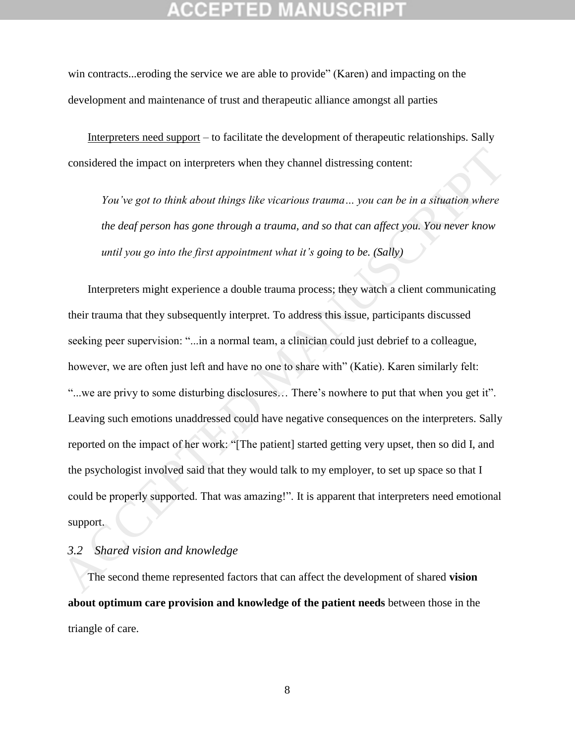win contracts...eroding the service we are able to provide" (Karen) and impacting on the development and maintenance of trust and therapeutic alliance amongst all parties

Interpreters need support – to facilitate the development of therapeutic relationships. Sally considered the impact on interpreters when they channel distressing content:

*You've got to think about things like vicarious trauma… you can be in a situation where the deaf person has gone through a trauma, and so that can affect you. You never know until you go into the first appointment what it's going to be. (Sally)*

Interpreters might experience a double trauma process; they watch a client communicating their trauma that they subsequently interpret. To address this issue, participants discussed seeking peer supervision: "...in a normal team, a clinician could just debrief to a colleague, however, we are often just left and have no one to share with" (Katie). Karen similarly felt: "...we are privy to some disturbing disclosures… There's nowhere to put that when you get it". Leaving such emotions unaddressed could have negative consequences on the interpreters. Sally reported on the impact of her work: "[The patient] started getting very upset, then so did I, and the psychologist involved said that they would talk to my employer, to set up space so that I could be properly supported. That was amazing!". It is apparent that interpreters need emotional support. considered the impact on interpreters when they channel distressing content:<br>
You've got to think about things like victarious trauma... you can be in a situation where<br>
the deaf person has gone through a trauma, and so t

### *3.2 Shared vision and knowledge*

The second theme represented factors that can affect the development of shared **vision about optimum care provision and knowledge of the patient needs** between those in the triangle of care.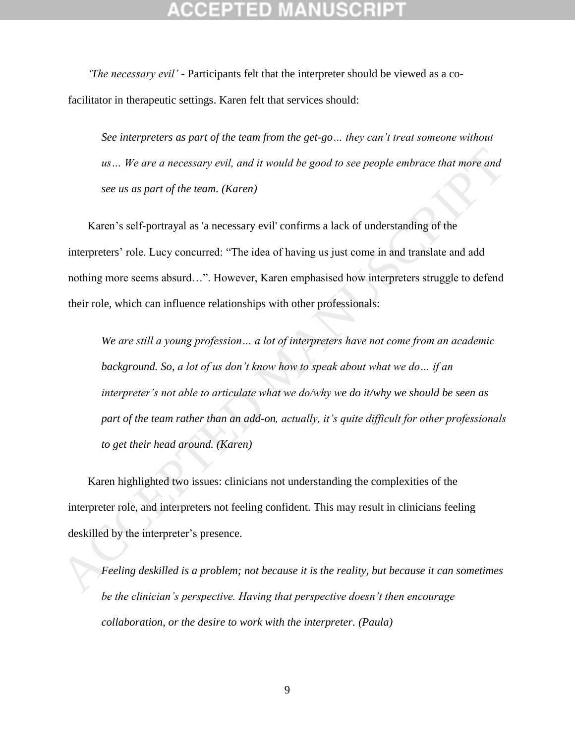*'The necessary evil'* - Participants felt that the interpreter should be viewed as a cofacilitator in therapeutic settings. Karen felt that services should:

*See interpreters as part of the team from the get-go… they can't treat someone without us… We are a necessary evil, and it would be good to see people embrace that more and see us as part of the team. (Karen)*

Karen's self-portrayal as 'a necessary evil' confirms a lack of understanding of the interpreters' role. Lucy concurred: "The idea of having us just come in and translate and add nothing more seems absurd…". However, Karen emphasised how interpreters struggle to defend their role, which can influence relationships with other professionals:

*We are still a young profession… a lot of interpreters have not come from an academic background. So, a lot of us don't know how to speak about what we do… if an interpreter's not able to articulate what we do/why we do it/why we should be seen as part of the team rather than an add-on, actually, it's quite difficult for other professionals to get their head around. (Karen) us... We are a necessary evil, and it would be good to see people embrace that more and*<br>see us as part of the team. (Karen)<br>Karen's self-portrayal as 'a necessary evil' confirms a lack of understanding of the<br>interprete

Karen highlighted two issues: clinicians not understanding the complexities of the interpreter role, and interpreters not feeling confident. This may result in clinicians feeling deskilled by the interpreter's presence.

*Feeling deskilled is a problem; not because it is the reality, but because it can sometimes be the clinician's perspective. Having that perspective doesn't then encourage collaboration, or the desire to work with the interpreter. (Paula)*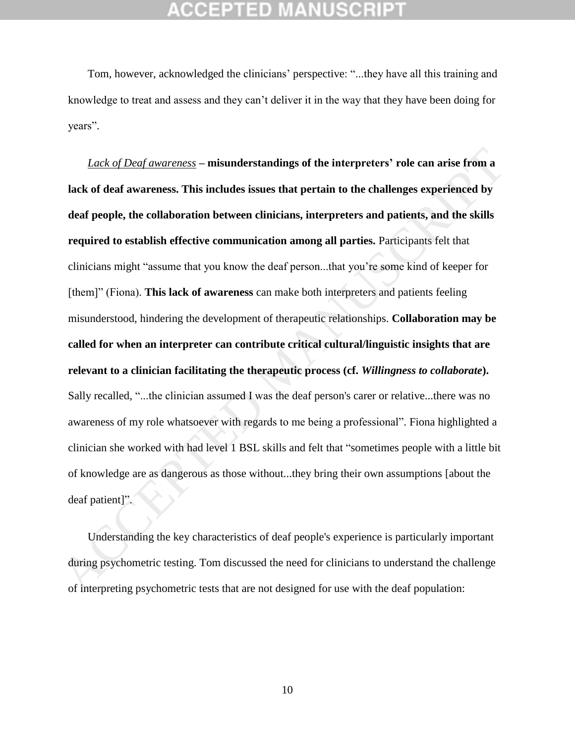## CEPTED

Tom, however, acknowledged the clinicians' perspective: "...they have all this training and knowledge to treat and assess and they can't deliver it in the way that they have been doing for years".

*Lack of Deaf awareness* **– misunderstandings of the interpreters' role can arise from a lack of deaf awareness. This includes issues that pertain to the challenges experienced by deaf people, the collaboration between clinicians, interpreters and patients, and the skills required to establish effective communication among all parties.** Participants felt that clinicians might "assume that you know the deaf person...that you're some kind of keeper for [them]" (Fiona). **This lack of awareness** can make both interpreters and patients feeling misunderstood, hindering the development of therapeutic relationships. **Collaboration may be called for when an interpreter can contribute critical cultural/linguistic insights that are relevant to a clinician facilitating the therapeutic process (cf.** *Willingness to collaborate***).** Sally recalled, "...the clinician assumed I was the deaf person's carer or relative...there was no awareness of my role whatsoever with regards to me being a professional". Fiona highlighted a clinician she worked with had level 1 BSL skills and felt that "sometimes people with a little bit of knowledge are as dangerous as those without...they bring their own assumptions [about the deaf patient]". *Lack of Dead awareness* - misunderstandings of the interpreters' role can arise from a<br>lack of deaf awareness. This includes issues that pertain to the challenges experienced by<br>deaf people, the collaboration between cli

Understanding the key characteristics of deaf people's experience is particularly important during psychometric testing. Tom discussed the need for clinicians to understand the challenge of interpreting psychometric tests that are not designed for use with the deaf population: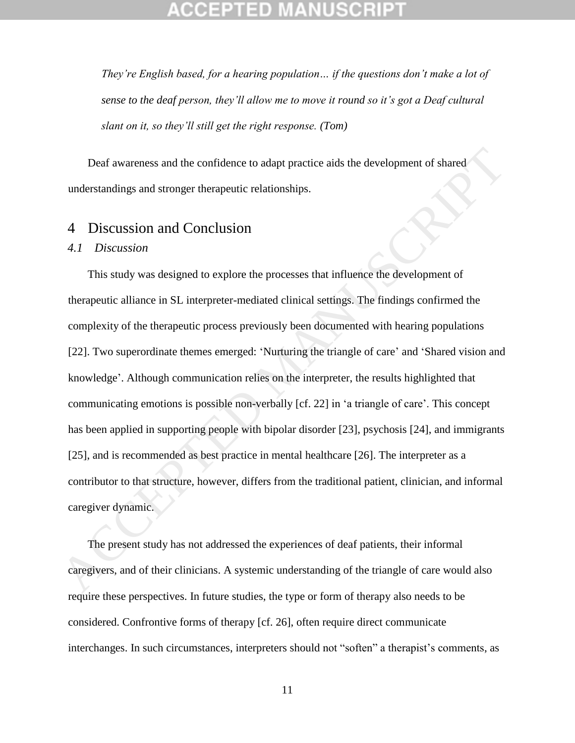*They're English based, for a hearing population… if the questions don't make a lot of sense to the deaf person, they'll allow me to move it round so it's got a Deaf cultural slant on it, so they'll still get the right response. (Tom)*

Deaf awareness and the confidence to adapt practice aids the development of shared understandings and stronger therapeutic relationships.

## 4 Discussion and Conclusion

### *4.1 Discussion*

This study was designed to explore the processes that influence the development of therapeutic alliance in SL interpreter-mediated clinical settings. The findings confirmed the complexity of the therapeutic process previously been documented with hearing populations [22]. Two superordinate themes emerged: 'Nurturing the triangle of care' and 'Shared vision and knowledge'. Although communication relies on the interpreter, the results highlighted that communicating emotions is possible non-verbally [cf. 22] in 'a triangle of care'. This concept has been applied in supporting people with bipolar disorder [23], psychosis [24], and immigrants [25], and is recommended as best practice in mental healthcare [26]. The interpreter as a contributor to that structure, however, differs from the traditional patient, clinician, and informal caregiver dynamic. Deaf awareness and the confidence to adapt practice aids the development of shared<br>
understandings and stronger therapeutic relationships.<br>
4. Discussion and Conclusion<br>
1. Biscussion<br>
1. This study was designed to explor

The present study has not addressed the experiences of deaf patients, their informal caregivers, and of their clinicians. A systemic understanding of the triangle of care would also require these perspectives. In future studies, the type or form of therapy also needs to be considered. Confrontive forms of therapy [cf. 26], often require direct communicate interchanges. In such circumstances, interpreters should not "soften" a therapist's comments, as

11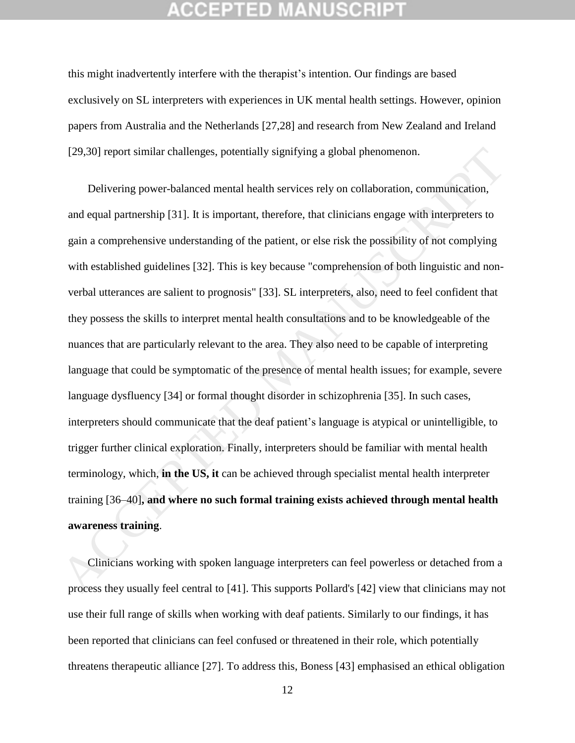this might inadvertently interfere with the therapist's intention. Our findings are based exclusively on SL interpreters with experiences in UK mental health settings. However, opinion papers from Australia and the Netherlands [27,28] and research from New Zealand and Ireland [29,30] report similar challenges, potentially signifying a global phenomenon.

Delivering power-balanced mental health services rely on collaboration, communication, and equal partnership [31]. It is important, therefore, that clinicians engage with interpreters to gain a comprehensive understanding of the patient, or else risk the possibility of not complying with established guidelines [32]. This is key because "comprehension of both linguistic and nonverbal utterances are salient to prognosis" [33]. SL interpreters, also, need to feel confident that they possess the skills to interpret mental health consultations and to be knowledgeable of the nuances that are particularly relevant to the area. They also need to be capable of interpreting language that could be symptomatic of the presence of mental health issues; for example, severe language dysfluency [34] or formal thought disorder in schizophrenia [35]. In such cases, interpreters should communicate that the deaf patient's language is atypical or unintelligible, to trigger further clinical exploration. Finally, interpreters should be familiar with mental health terminology, which, **in the US, it** can be achieved through specialist mental health interpreter training [36–40]**, and where no such formal training exists achieved through mental health awareness training**. [29.30] report similar challenges, potentially signifying a global phenomenon.<br>
Delivering power-balanced mental health services rely on collaboration, communication,<br>
and equal partnership [31]. It is important, therefor

Clinicians working with spoken language interpreters can feel powerless or detached from a process they usually feel central to [41]. This supports Pollard's [42] view that clinicians may not use their full range of skills when working with deaf patients. Similarly to our findings, it has been reported that clinicians can feel confused or threatened in their role, which potentially threatens therapeutic alliance [27]. To address this, Boness [43] emphasised an ethical obligation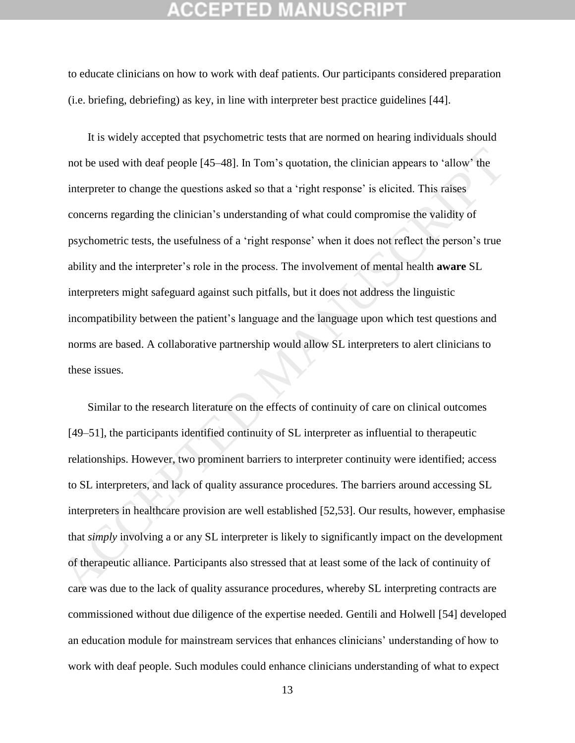## 12 T 2 D

to educate clinicians on how to work with deaf patients. Our participants considered preparation (i.e. briefing, debriefing) as key, in line with interpreter best practice guidelines [44].

It is widely accepted that psychometric tests that are normed on hearing individuals should not be used with deaf people [45–48]. In Tom's quotation, the clinician appears to 'allow' the interpreter to change the questions asked so that a 'right response' is elicited. This raises concerns regarding the clinician's understanding of what could compromise the validity of psychometric tests, the usefulness of a 'right response' when it does not reflect the person's true ability and the interpreter's role in the process. The involvement of mental health **aware** SL interpreters might safeguard against such pitfalls, but it does not address the linguistic incompatibility between the patient's language and the language upon which test questions and norms are based. A collaborative partnership would allow SL interpreters to alert clinicians to these issues. not be used with deaf people [45-48]. In Tom's quotation, the clinician appears to 'allow' the<br>interpreter to change the questions asked so that a 'right response' is elicited. This raises<br>concerns regarding the clinician'

Similar to the research literature on the effects of continuity of care on clinical outcomes [49–51], the participants identified continuity of SL interpreter as influential to therapeutic relationships. However, two prominent barriers to interpreter continuity were identified; access to SL interpreters, and lack of quality assurance procedures. The barriers around accessing SL interpreters in healthcare provision are well established [52,53]. Our results, however, emphasise that *simply* involving a or any SL interpreter is likely to significantly impact on the development of therapeutic alliance. Participants also stressed that at least some of the lack of continuity of care was due to the lack of quality assurance procedures, whereby SL interpreting contracts are commissioned without due diligence of the expertise needed. Gentili and Holwell [54] developed an education module for mainstream services that enhances clinicians' understanding of how to work with deaf people. Such modules could enhance clinicians understanding of what to expect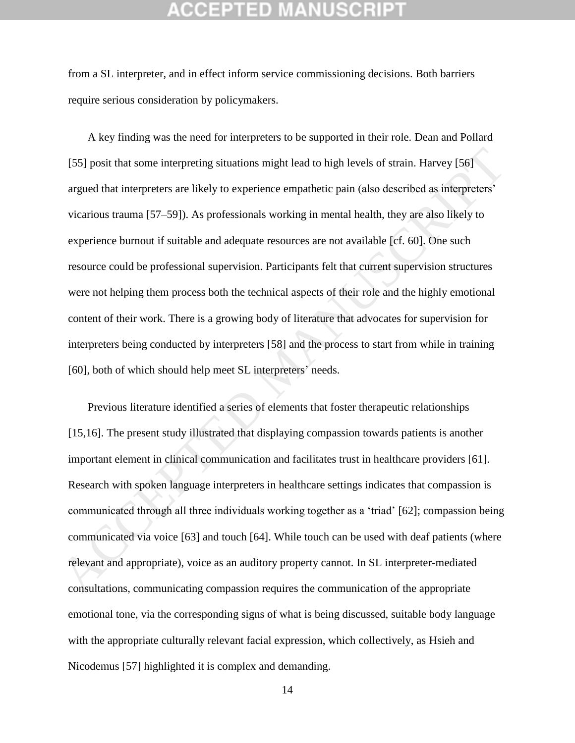## CEPTED

from a SL interpreter, and in effect inform service commissioning decisions. Both barriers require serious consideration by policymakers.

A key finding was the need for interpreters to be supported in their role. Dean and Pollard [55] posit that some interpreting situations might lead to high levels of strain. Harvey [56] argued that interpreters are likely to experience empathetic pain (also described as interpreters' vicarious trauma [57–59]). As professionals working in mental health, they are also likely to experience burnout if suitable and adequate resources are not available [cf. 60]. One such resource could be professional supervision. Participants felt that current supervision structures were not helping them process both the technical aspects of their role and the highly emotional content of their work. There is a growing body of literature that advocates for supervision for interpreters being conducted by interpreters [58] and the process to start from while in training [60], both of which should help meet SL interpreters' needs. 1551 posit that some interpreting situations might lead to high levels of strain. Harvey 1561<br>argued that interpreters are likely to experience empathetic pain (also described as interpreters<br>vicarious trauma 157-591). As

Previous literature identified a series of elements that foster therapeutic relationships [15,16]. The present study illustrated that displaying compassion towards patients is another important element in clinical communication and facilitates trust in healthcare providers [61]. Research with spoken language interpreters in healthcare settings indicates that compassion is communicated through all three individuals working together as a 'triad' [62]; compassion being communicated via voice [63] and touch [64]. While touch can be used with deaf patients (where relevant and appropriate), voice as an auditory property cannot. In SL interpreter-mediated consultations, communicating compassion requires the communication of the appropriate emotional tone, via the corresponding signs of what is being discussed, suitable body language with the appropriate culturally relevant facial expression, which collectively, as Hsieh and Nicodemus [57] highlighted it is complex and demanding.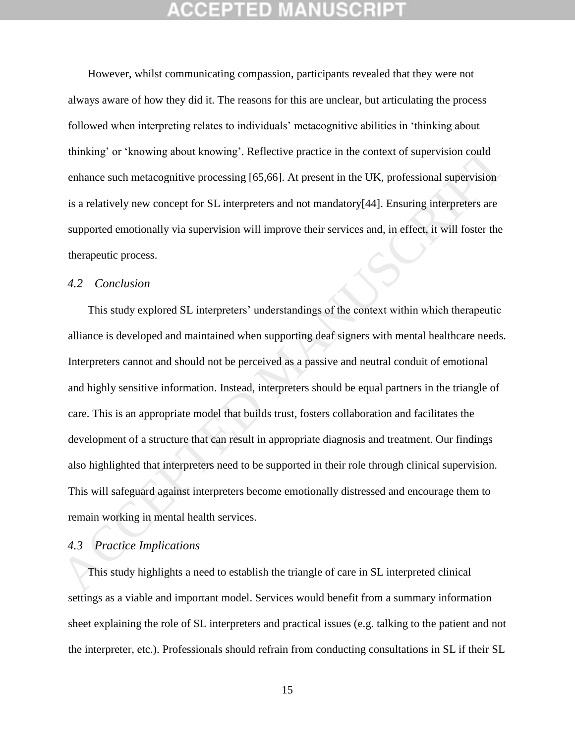However, whilst communicating compassion, participants revealed that they were not always aware of how they did it. The reasons for this are unclear, but articulating the process followed when interpreting relates to individuals' metacognitive abilities in 'thinking about thinking' or 'knowing about knowing'. Reflective practice in the context of supervision could enhance such metacognitive processing [65,66]. At present in the UK, professional supervision is a relatively new concept for SL interpreters and not mandatory[44]. Ensuring interpreters are supported emotionally via supervision will improve their services and, in effect, it will foster the therapeutic process.

### *4.2 Conclusion*

This study explored SL interpreters' understandings of the context within which therapeutic alliance is developed and maintained when supporting deaf signers with mental healthcare needs. Interpreters cannot and should not be perceived as a passive and neutral conduit of emotional and highly sensitive information. Instead, interpreters should be equal partners in the triangle of care. This is an appropriate model that builds trust, fosters collaboration and facilitates the development of a structure that can result in appropriate diagnosis and treatment. Our findings also highlighted that interpreters need to be supported in their role through clinical supervision. This will safeguard against interpreters become emotionally distressed and encourage them to remain working in mental health services. thinking' or 'knowing about knowing'. Reflective practice in the context of supervision could<br>
enhance such metacognitive processing [65,66]. At present in the UK, professional supervision<br>
is a relatively new concept for

### *4.3 Practice Implications*

This study highlights a need to establish the triangle of care in SL interpreted clinical settings as a viable and important model. Services would benefit from a summary information sheet explaining the role of SL interpreters and practical issues (e.g. talking to the patient and not the interpreter, etc.). Professionals should refrain from conducting consultations in SL if their SL

15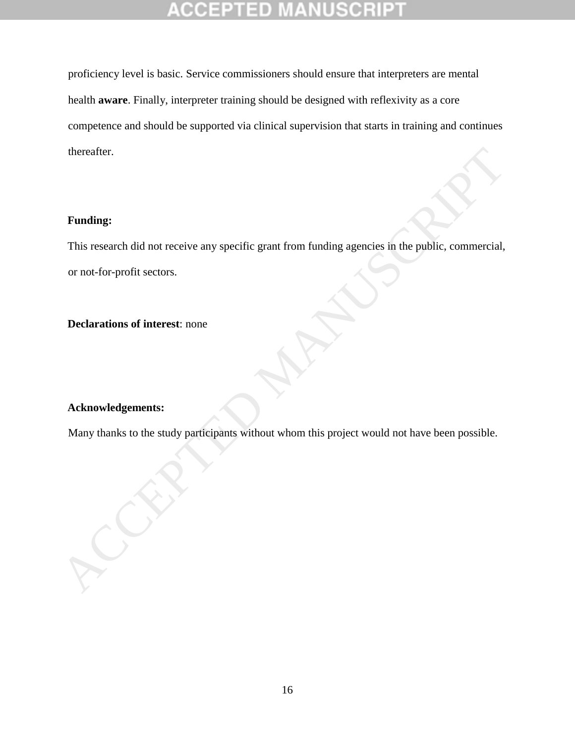# ΞD

proficiency level is basic. Service commissioners should ensure that interpreters are mental health **aware**. Finally, interpreter training should be designed with reflexivity as a core competence and should be supported via clinical supervision that starts in training and continues thereafter.

### **Funding:**

This research did not receive any specific grant from funding agencies in the public, commercial, or not-for-profit sectors. Funding:<br>
This research did not receive any specific grant from funding agencies in the public, commercial,<br>
or not-for-profit sectors.<br>
Declarations of interest: none<br>
Acknowledgements:<br>
Many thanks to the study participa

**Declarations of interest**: none

### **Acknowledgements:**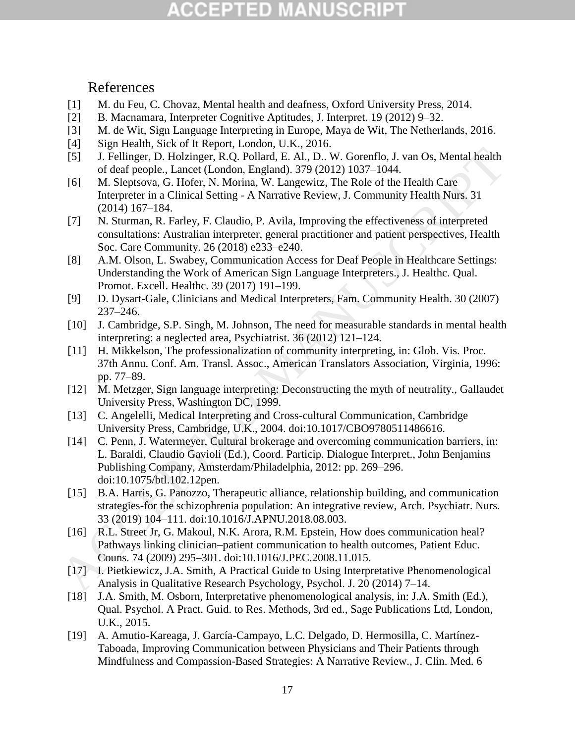# CCEPTED MANUSCRIP

References

- [1] M. du Feu, C. Chovaz, Mental health and deafness, Oxford University Press, 2014.
- [2] B. Macnamara, Interpreter Cognitive Aptitudes, J. Interpret. 19 (2012) 9–32.
- [3] M. de Wit, Sign Language Interpreting in Europe, Maya de Wit, The Netherlands, 2016.
- [4] Sign Health, Sick of It Report, London, U.K., 2016.
- [5] J. Fellinger, D. Holzinger, R.Q. Pollard, E. Al., D.. W. Gorenflo, J. van Os, Mental health of deaf people., Lancet (London, England). 379 (2012) 1037–1044.
- [6] M. Sleptsova, G. Hofer, N. Morina, W. Langewitz, The Role of the Health Care Interpreter in a Clinical Setting - A Narrative Review, J. Community Health Nurs. 31 (2014) 167–184.
- [7] N. Sturman, R. Farley, F. Claudio, P. Avila, Improving the effectiveness of interpreted consultations: Australian interpreter, general practitioner and patient perspectives, Health Soc. Care Community. 26 (2018) e233–e240.
- [8] A.M. Olson, L. Swabey, Communication Access for Deaf People in Healthcare Settings: Understanding the Work of American Sign Language Interpreters., J. Healthc. Qual. Promot. Excell. Healthc. 39 (2017) 191–199.
- [9] D. Dysart-Gale, Clinicians and Medical Interpreters, Fam. Community Health. 30 (2007) 237–246.
- [10] J. Cambridge, S.P. Singh, M. Johnson, The need for measurable standards in mental health interpreting: a neglected area, Psychiatrist. 36 (2012) 121–124.
- [11] H. Mikkelson, The professionalization of community interpreting, in: Glob. Vis. Proc. 37th Annu. Conf. Am. Transl. Assoc., American Translators Association, Virginia, 1996: pp. 77–89.
- [12] M. Metzger, Sign language interpreting: Deconstructing the myth of neutrality., Gallaudet University Press, Washington DC, 1999.
- [13] C. Angelelli, Medical Interpreting and Cross-cultural Communication, Cambridge University Press, Cambridge, U.K., 2004. doi:10.1017/CBO9780511486616.
- [14] C. Penn, J. Watermeyer, Cultural brokerage and overcoming communication barriers, in: L. Baraldi, Claudio Gavioli (Ed.), Coord. Particip. Dialogue Interpret., John Benjamins Publishing Company, Amsterdam/Philadelphia, 2012: pp. 269–296. doi:10.1075/btl.102.12pen. 151<br>
1. Fellinger, D. Holzinger, R.Q. Pollard, E. Al., D. W. Gorenflo, J. van Os, Mental health<br>
161 of lead people. Laneet (London, Eagland), 379 (2012) 1037-1044.<br>
161 M. Sleptsova, G. Hofer, N. Morina, W. Langewitz, Th
	- [15] B.A. Harris, G. Panozzo, Therapeutic alliance, relationship building, and communication strategies-for the schizophrenia population: An integrative review, Arch. Psychiatr. Nurs. 33 (2019) 104–111. doi:10.1016/J.APNU.2018.08.003.
	- [16] R.L. Street Jr, G. Makoul, N.K. Arora, R.M. Epstein, How does communication heal? Pathways linking clinician–patient communication to health outcomes, Patient Educ. Couns. 74 (2009) 295–301. doi:10.1016/J.PEC.2008.11.015.
	- [17] I. Pietkiewicz, J.A. Smith, A Practical Guide to Using Interpretative Phenomenological Analysis in Qualitative Research Psychology, Psychol. J. 20 (2014) 7–14.
	- [18] J.A. Smith, M. Osborn, Interpretative phenomenological analysis, in: J.A. Smith (Ed.), Qual. Psychol. A Pract. Guid. to Res. Methods, 3rd ed., Sage Publications Ltd, London, U.K., 2015.
	- [19] A. Amutio-Kareaga, J. García-Campayo, L.C. Delgado, D. Hermosilla, C. Martínez-Taboada, Improving Communication between Physicians and Their Patients through Mindfulness and Compassion-Based Strategies: A Narrative Review., J. Clin. Med. 6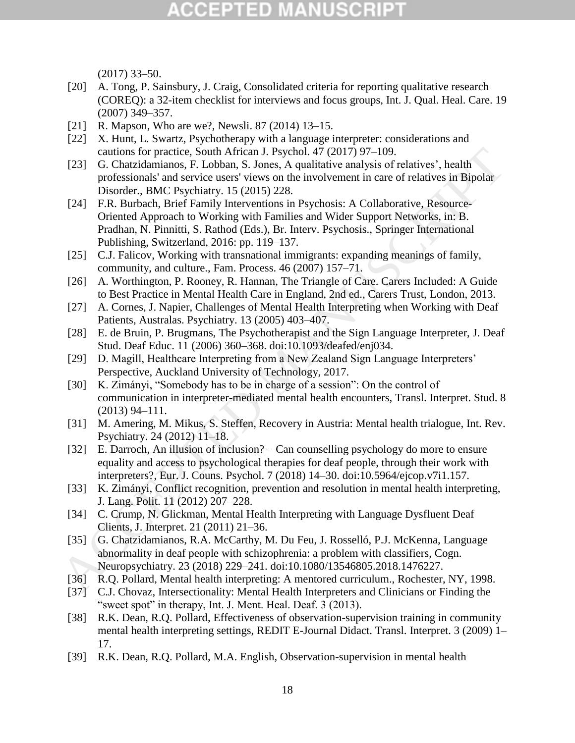## **CCEPTED MANUSCRIP**

(2017) 33–50.

- [20] A. Tong, P. Sainsbury, J. Craig, Consolidated criteria for reporting qualitative research (COREQ): a 32-item checklist for interviews and focus groups, Int. J. Qual. Heal. Care. 19 (2007) 349–357.
- [21] R. Mapson, Who are we?, Newsli. 87 (2014) 13–15.
- [22] X. Hunt, L. Swartz, Psychotherapy with a language interpreter: considerations and cautions for practice, South African J. Psychol. 47 (2017) 97–109.
- [23] G. Chatzidamianos, F. Lobban, S. Jones, A qualitative analysis of relatives', health professionals' and service users' views on the involvement in care of relatives in Bipolar Disorder., BMC Psychiatry. 15 (2015) 228.
- [24] F.R. Burbach, Brief Family Interventions in Psychosis: A Collaborative, Resource-Oriented Approach to Working with Families and Wider Support Networks, in: B. Pradhan, N. Pinnitti, S. Rathod (Eds.), Br. Interv. Psychosis., Springer International Publishing, Switzerland, 2016: pp. 119–137. cations for practice, South African 1. Psychol. 47 (2017) 79-109.<br>
231 G. Charzidamianos, F. Lobban, S. Jones, A qualitative analysis of relatives; health<br>
professionals' and service were views on the involvement in eare o
	- [25] C.J. Falicov, Working with transnational immigrants: expanding meanings of family, community, and culture., Fam. Process. 46 (2007) 157–71.
	- [26] A. Worthington, P. Rooney, R. Hannan, The Triangle of Care. Carers Included: A Guide to Best Practice in Mental Health Care in England, 2nd ed., Carers Trust, London, 2013.
	- [27] A. Cornes, J. Napier, Challenges of Mental Health Interpreting when Working with Deaf Patients, Australas. Psychiatry. 13 (2005) 403–407.
	- [28] E. de Bruin, P. Brugmans, The Psychotherapist and the Sign Language Interpreter, J. Deaf Stud. Deaf Educ. 11 (2006) 360–368. doi:10.1093/deafed/enj034.
	- [29] D. Magill, Healthcare Interpreting from a New Zealand Sign Language Interpreters' Perspective, Auckland University of Technology, 2017.
	- [30] K. Zimányi, "Somebody has to be in charge of a session": On the control of communication in interpreter-mediated mental health encounters, Transl. Interpret. Stud. 8 (2013) 94–111.
	- [31] M. Amering, M. Mikus, S. Steffen, Recovery in Austria: Mental health trialogue, Int. Rev. Psychiatry. 24 (2012) 11–18.
	- [32] E. Darroch, An illusion of inclusion? Can counselling psychology do more to ensure equality and access to psychological therapies for deaf people, through their work with interpreters?, Eur. J. Couns. Psychol. 7 (2018) 14–30. doi:10.5964/ejcop.v7i1.157.
	- [33] K. Zimányi, Conflict recognition, prevention and resolution in mental health interpreting, J. Lang. Polit. 11 (2012) 207–228.
	- [34] C. Crump, N. Glickman, Mental Health Interpreting with Language Dysfluent Deaf Clients, J. Interpret. 21 (2011) 21–36.
	- [35] G. Chatzidamianos, R.A. McCarthy, M. Du Feu, J. Rosselló, P.J. McKenna, Language abnormality in deaf people with schizophrenia: a problem with classifiers, Cogn. Neuropsychiatry. 23 (2018) 229–241. doi:10.1080/13546805.2018.1476227.
	- [36] R.Q. Pollard, Mental health interpreting: A mentored curriculum., Rochester, NY, 1998.
	- [37] C.J. Chovaz, Intersectionality: Mental Health Interpreters and Clinicians or Finding the "sweet spot" in therapy, Int. J. Ment. Heal. Deaf. 3 (2013).
	- [38] R.K. Dean, R.Q. Pollard, Effectiveness of observation-supervision training in community mental health interpreting settings, REDIT E-Journal Didact. Transl. Interpret. 3 (2009) 1– 17.
	- [39] R.K. Dean, R.Q. Pollard, M.A. English, Observation-supervision in mental health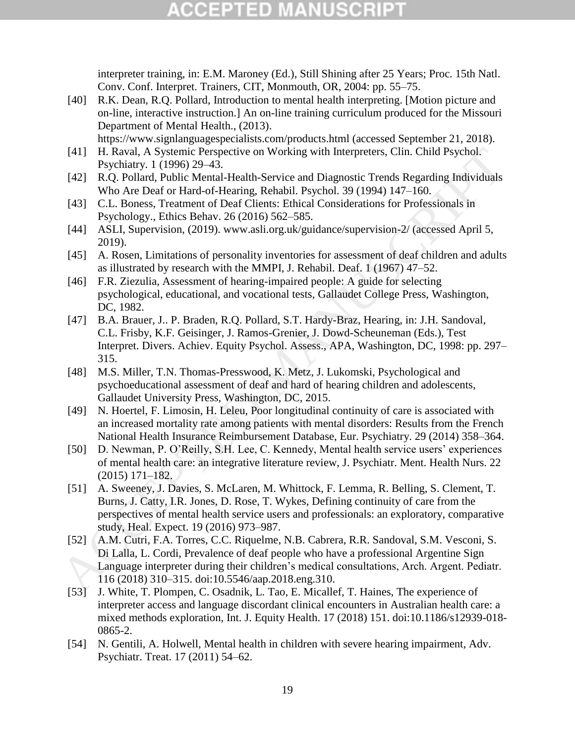## **CCEPTED MANUSCR**

interpreter training, in: E.M. Maroney (Ed.), Still Shining after 25 Years; Proc. 15th Natl. Conv. Conf. Interpret. Trainers, CIT, Monmouth, OR, 2004: pp. 55–75.

[40] R.K. Dean, R.Q. Pollard, Introduction to mental health interpreting. [Motion picture and on-line, interactive instruction.] An on-line training curriculum produced for the Missouri Department of Mental Health., (2013).

https://www.signlanguagespecialists.com/products.html (accessed September 21, 2018).

- [41] H. Raval, A Systemic Perspective on Working with Interpreters, Clin. Child Psychol. Psychiatry. 1 (1996) 29–43.
- [42] R.Q. Pollard, Public Mental-Health-Service and Diagnostic Trends Regarding Individuals Who Are Deaf or Hard-of-Hearing, Rehabil. Psychol. 39 (1994) 147–160.
- [43] C.L. Boness, Treatment of Deaf Clients: Ethical Considerations for Professionals in Psychology., Ethics Behav. 26 (2016) 562–585.
- [44] ASLI, Supervision, (2019). www.asli.org.uk/guidance/supervision-2/ (accessed April 5, 2019).
- [45] A. Rosen, Limitations of personality inventories for assessment of deaf children and adults as illustrated by research with the MMPI, J. Rehabil. Deaf. 1 (1967) 47–52.
- [46] F.R. Ziezulia, Assessment of hearing-impaired people: A guide for selecting psychological, educational, and vocational tests, Gallaudet College Press, Washington, DC, 1982.
- [47] B.A. Brauer, J.. P. Braden, R.Q. Pollard, S.T. Hardy-Braz, Hearing, in: J.H. Sandoval, C.L. Frisby, K.F. Geisinger, J. Ramos-Grenier, J. Dowd-Scheuneman (Eds.), Test Interpret. Divers. Achiev. Equity Psychol. Assess., APA, Washington, DC, 1998: pp. 297– 315.
- [48] M.S. Miller, T.N. Thomas-Presswood, K. Metz, J. Lukomski, Psychological and psychoeducational assessment of deaf and hard of hearing children and adolescents, Gallaudet University Press, Washington, DC, 2015.
- [49] N. Hoertel, F. Limosin, H. Leleu, Poor longitudinal continuity of care is associated with an increased mortality rate among patients with mental disorders: Results from the French National Health Insurance Reimbursement Database, Eur. Psychiatry. 29 (2014) 358–364.
- [50] D. Newman, P. O'Reilly, S.H. Lee, C. Kennedy, Mental health service users' experiences of mental health care: an integrative literature review, J. Psychiatr. Ment. Health Nurs. 22 (2015) 171–182.
- [51] A. Sweeney, J. Davies, S. McLaren, M. Whittock, F. Lemma, R. Belling, S. Clement, T. Burns, J. Catty, I.R. Jones, D. Rose, T. Wykes, Defining continuity of care from the perspectives of mental health service users and professionals: an exploratory, comparative study, Heal. Expect. 19 (2016) 973–987. (41) HR Raval, A Systemic Perspective on Working with Interpreters, Clin. Child Psychol.<br>
149 Psychiatry. 1 (1996) 29–43;<br>
RC, Pollard, Public Merrid-Health Sevice and Diagnostic Trends Regarding Individuals<br>
142) R.O. Po
	- [52] A.M. Cutri, F.A. Torres, C.C. Riquelme, N.B. Cabrera, R.R. Sandoval, S.M. Vesconi, S. Di Lalla, L. Cordi, Prevalence of deaf people who have a professional Argentine Sign Language interpreter during their children's medical consultations, Arch. Argent. Pediatr. 116 (2018) 310–315. doi:10.5546/aap.2018.eng.310.
	- [53] J. White, T. Plompen, C. Osadnik, L. Tao, E. Micallef, T. Haines, The experience of interpreter access and language discordant clinical encounters in Australian health care: a mixed methods exploration, Int. J. Equity Health. 17 (2018) 151. doi:10.1186/s12939-018- 0865-2.
	- [54] N. Gentili, A. Holwell, Mental health in children with severe hearing impairment, Adv. Psychiatr. Treat. 17 (2011) 54–62.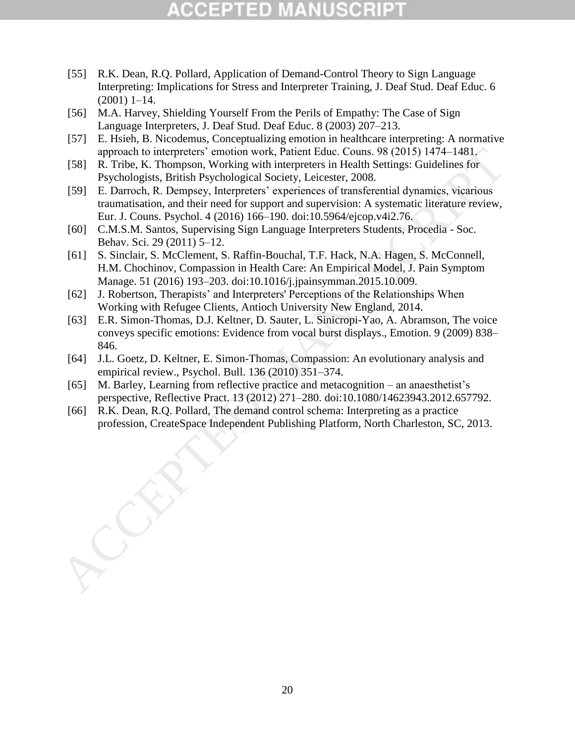# TED

- [55] R.K. Dean, R.Q. Pollard, Application of Demand-Control Theory to Sign Language Interpreting: Implications for Stress and Interpreter Training, J. Deaf Stud. Deaf Educ. 6 (2001) 1–14.
- [56] M.A. Harvey, Shielding Yourself From the Perils of Empathy: The Case of Sign Language Interpreters, J. Deaf Stud. Deaf Educ. 8 (2003) 207–213.
- [57] E. Hsieh, B. Nicodemus, Conceptualizing emotion in healthcare interpreting: A normative approach to interpreters' emotion work, Patient Educ. Couns. 98 (2015) 1474–1481.
- [58] R. Tribe, K. Thompson, Working with interpreters in Health Settings: Guidelines for Psychologists, British Psychological Society, Leicester, 2008.
- [59] E. Darroch, R. Dempsey, Interpreters' experiences of transferential dynamics, vicarious traumatisation, and their need for support and supervision: A systematic literature review, Eur. J. Couns. Psychol. 4 (2016) 166–190. doi:10.5964/ejcop.v4i2.76. approach to interpretess' emotion work, Patient Educ. Couns. 998 (2015) 1474–1481, The Deychologists. British Psychological Society, Leicester, 2008.<br>
Psychologista Britishing Platform, Health Settings: Guidelines for<br>
Eyc
	- [60] C.M.S.M. Santos, Supervising Sign Language Interpreters Students, Procedia Soc. Behav. Sci. 29 (2011) 5–12.
	- [61] S. Sinclair, S. McClement, S. Raffin-Bouchal, T.F. Hack, N.A. Hagen, S. McConnell, H.M. Chochinov, Compassion in Health Care: An Empirical Model, J. Pain Symptom Manage. 51 (2016) 193–203. doi:10.1016/j.jpainsymman.2015.10.009.
	- [62] J. Robertson, Therapists' and Interpreters' Perceptions of the Relationships When Working with Refugee Clients, Antioch University New England, 2014.
	- [63] E.R. Simon-Thomas, D.J. Keltner, D. Sauter, L. Sinicropi-Yao, A. Abramson, The voice conveys specific emotions: Evidence from vocal burst displays., Emotion. 9 (2009) 838– 846.
	- [64] J.L. Goetz, D. Keltner, E. Simon-Thomas, Compassion: An evolutionary analysis and empirical review., Psychol. Bull. 136 (2010) 351–374.
	- [65] M. Barley, Learning from reflective practice and metacognition an anaesthetist's perspective, Reflective Pract. 13 (2012) 271–280. doi:10.1080/14623943.2012.657792.
	- [66] R.K. Dean, R.Q. Pollard, The demand control schema: Interpreting as a practice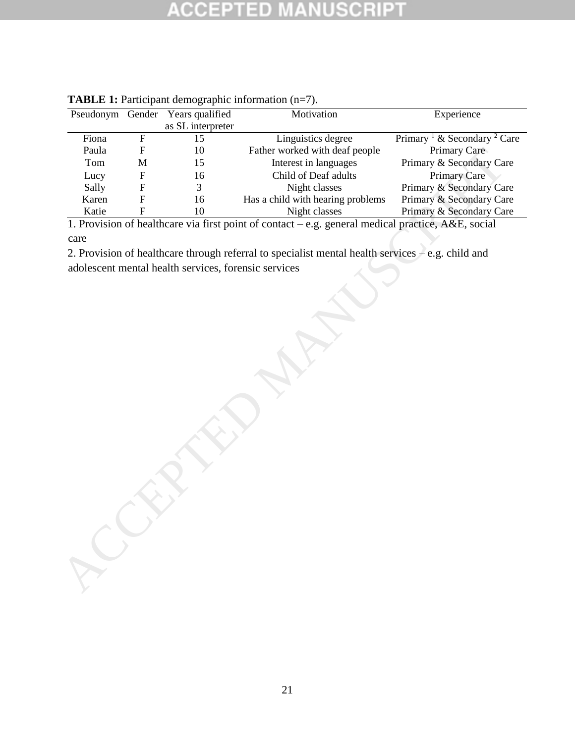### SCRIP ED

|       |                           | Pseudonym Gender Years qualified                     | Motivation                                                                                         | Experience                                         |
|-------|---------------------------|------------------------------------------------------|----------------------------------------------------------------------------------------------------|----------------------------------------------------|
|       |                           | as SL interpreter                                    |                                                                                                    |                                                    |
| Fiona | ${\bf F}$                 | 15                                                   | Linguistics degree                                                                                 | Primary <sup>1</sup> & Secondary <sup>2</sup> Care |
| Paula | ${\bf F}$                 | 10                                                   | Father worked with deaf people                                                                     | Primary Care                                       |
| Tom   | $\mathbf M$               | 15                                                   | Interest in languages                                                                              | Primary & Secondary Care                           |
| Lucy  | ${\bf F}$                 | 16                                                   | Child of Deaf adults                                                                               | <b>Primary Care</b>                                |
| Sally | $\boldsymbol{\mathrm{F}}$ | 3                                                    | Night classes                                                                                      | Primary & Secondary Care                           |
| Karen | $\overline{F}$            | 16                                                   | Has a child with hearing problems                                                                  | Primary & Secondary Care                           |
| Katie | $\mathbf F$               | 10                                                   | Night classes                                                                                      | Primary & Secondary Care                           |
|       |                           |                                                      | 1. Provision of healthcare via first point of contact – e.g. general medical practice, A&E, social |                                                    |
| care  |                           |                                                      |                                                                                                    |                                                    |
|       |                           |                                                      | 2. Provision of healthcare through referral to specialist mental health services - e.g. child and  |                                                    |
|       |                           | adolescent mental health services, forensic services |                                                                                                    |                                                    |
|       |                           |                                                      |                                                                                                    |                                                    |
|       |                           |                                                      |                                                                                                    |                                                    |
|       |                           |                                                      |                                                                                                    |                                                    |
|       |                           |                                                      |                                                                                                    |                                                    |
|       |                           |                                                      |                                                                                                    |                                                    |
|       |                           |                                                      |                                                                                                    |                                                    |
|       |                           |                                                      |                                                                                                    |                                                    |
|       |                           |                                                      |                                                                                                    |                                                    |
|       |                           |                                                      |                                                                                                    |                                                    |
|       |                           |                                                      |                                                                                                    |                                                    |
|       |                           |                                                      |                                                                                                    |                                                    |
|       |                           |                                                      |                                                                                                    |                                                    |
|       |                           |                                                      |                                                                                                    |                                                    |
|       |                           |                                                      |                                                                                                    |                                                    |
|       |                           |                                                      |                                                                                                    |                                                    |
|       |                           |                                                      |                                                                                                    |                                                    |
|       |                           |                                                      |                                                                                                    |                                                    |
|       |                           |                                                      |                                                                                                    |                                                    |
|       |                           |                                                      |                                                                                                    |                                                    |
|       |                           |                                                      |                                                                                                    |                                                    |
|       |                           |                                                      |                                                                                                    |                                                    |
|       |                           |                                                      |                                                                                                    |                                                    |
|       |                           |                                                      |                                                                                                    |                                                    |
|       |                           |                                                      |                                                                                                    |                                                    |
|       |                           |                                                      |                                                                                                    |                                                    |
|       |                           |                                                      |                                                                                                    |                                                    |

**TABLE 1:** Participant demographic information (n=7).